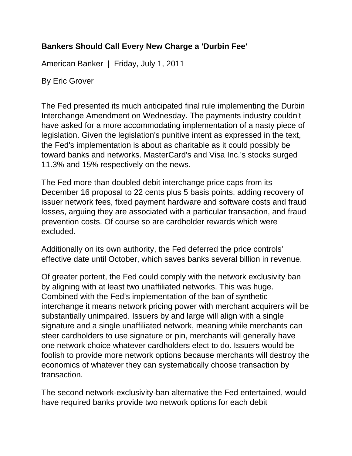## **Bankers Should Call Every New Charge a 'Durbin Fee'**

American Banker | Friday, July 1, 2011

By Eric Grover

The Fed presented its much anticipated final rule implementing the Durbin Interchange Amendment on Wednesday. The payments industry couldn't have asked for a more accommodating implementation of a nasty piece of legislation. Given the legislation's punitive intent as expressed in the text, the Fed's implementation is about as charitable as it could possibly be toward banks and networks. MasterCard's and Visa Inc.'s stocks surged 11.3% and 15% respectively on the news.

The Fed more than doubled debit interchange price caps from its December 16 proposal to 22 cents plus 5 basis points, adding recovery of issuer network fees, fixed payment hardware and software costs and fraud losses, arguing they are associated with a particular transaction, and fraud prevention costs. Of course so are cardholder rewards which were excluded.

Additionally on its own authority, the Fed deferred the price controls' effective date until October, which saves banks several billion in revenue.

Of greater portent, the Fed could comply with the network exclusivity ban by aligning with at least two unaffiliated networks. This was huge. Combined with the Fed's implementation of the ban of synthetic interchange it means network pricing power with merchant acquirers will be substantially unimpaired. Issuers by and large will align with a single signature and a single unaffiliated network, meaning while merchants can steer cardholders to use signature or pin, merchants will generally have one network choice whatever cardholders elect to do. Issuers would be foolish to provide more network options because merchants will destroy the economics of whatever they can systematically choose transaction by transaction.

The second network-exclusivity-ban alternative the Fed entertained, would have required banks provide two network options for each debit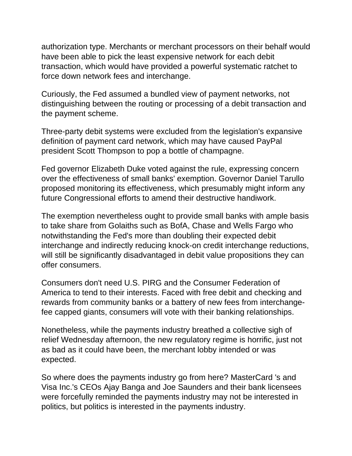authorization type. Merchants or merchant processors on their behalf would have been able to pick the least expensive network for each debit transaction, which would have provided a powerful systematic ratchet to force down network fees and interchange.

Curiously, the Fed assumed a bundled view of payment networks, not distinguishing between the routing or processing of a debit transaction and the payment scheme.

Three-party debit systems were excluded from the legislation's expansive definition of payment card network, which may have caused PayPal president Scott Thompson to pop a bottle of champagne.

Fed governor Elizabeth Duke voted against the rule, expressing concern over the effectiveness of small banks' exemption. Governor Daniel Tarullo proposed monitoring its effectiveness, which presumably might inform any future Congressional efforts to amend their destructive handiwork.

The exemption nevertheless ought to provide small banks with ample basis to take share from Golaiths such as BofA, Chase and Wells Fargo who notwithstanding the Fed's more than doubling their expected debit interchange and indirectly reducing knock-on credit interchange reductions, will still be significantly disadvantaged in debit value propositions they can offer consumers.

Consumers don't need U.S. PIRG and the Consumer Federation of America to tend to their interests. Faced with free debit and checking and rewards from community banks or a battery of new fees from interchangefee capped giants, consumers will vote with their banking relationships.

Nonetheless, while the payments industry breathed a collective sigh of relief Wednesday afternoon, the new regulatory regime is horrific, just not as bad as it could have been, the merchant lobby intended or was expected.

So where does the payments industry go from here? MasterCard 's and Visa Inc.'s CEOs Ajay Banga and Joe Saunders and their bank licensees were forcefully reminded the payments industry may not be interested in politics, but politics is interested in the payments industry.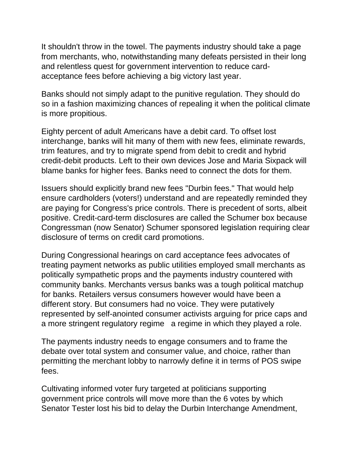It shouldn't throw in the towel. The payments industry should take a page from merchants, who, notwithstanding many defeats persisted in their long and relentless quest for government intervention to reduce cardacceptance fees before achieving a big victory last year.

Banks should not simply adapt to the punitive regulation. They should do so in a fashion maximizing chances of repealing it when the political climate is more propitious.

Eighty percent of adult Americans have a debit card. To offset lost interchange, banks will hit many of them with new fees, eliminate rewards, trim features, and try to migrate spend from debit to credit and hybrid credit-debit products. Left to their own devices Jose and Maria Sixpack will blame banks for higher fees. Banks need to connect the dots for them.

Issuers should explicitly brand new fees "Durbin fees." That would help ensure cardholders (voters!) understand and are repeatedly reminded they are paying for Congress's price controls. There is precedent of sorts, albeit positive. Credit-card-term disclosures are called the Schumer box because Congressman (now Senator) Schumer sponsored legislation requiring clear disclosure of terms on credit card promotions.

During Congressional hearings on card acceptance fees advocates of treating payment networks as public utilities employed small merchants as politically sympathetic props and the payments industry countered with community banks. Merchants versus banks was a tough political matchup for banks. Retailers versus consumers however would have been a different story. But consumers had no voice. They were putatively represented by self-anointed consumer activists arguing for price caps and a more stringent regulatory regime a regime in which they played a role.

The payments industry needs to engage consumers and to frame the debate over total system and consumer value, and choice, rather than permitting the merchant lobby to narrowly define it in terms of POS swipe fees.

Cultivating informed voter fury targeted at politicians supporting government price controls will move more than the 6 votes by which Senator Tester lost his bid to delay the Durbin Interchange Amendment,